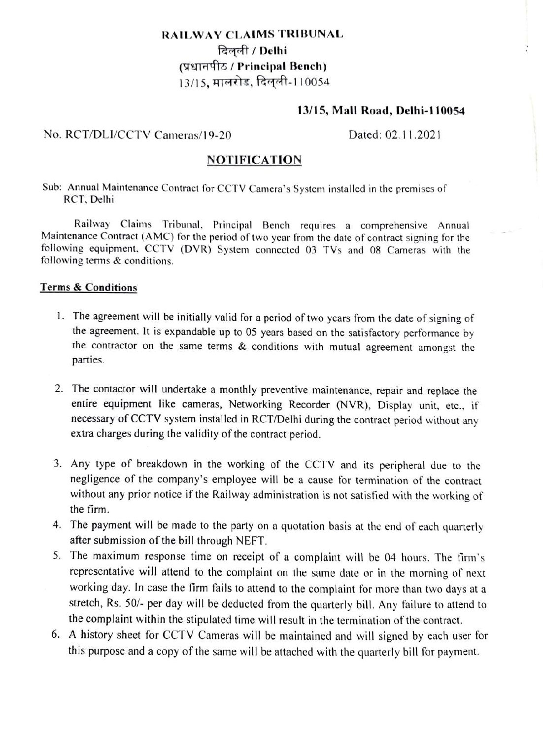# RAILWAY CLAIMS TRIBUNAL दिलली / Delhi (प्रधानपीठ / Principal Bench) 13/15, मालरोड, दिलली-110054

## 13/15, Mall Road, Delhi-110054

### No. RCT/DLI/CCTV Cameras/19-20 Dated: 02.11.2021

## NOTIFICATION

Sub: Annual Maintenance Contract for CCTv Camera's System installed in the premises of RCT, Dellhi

Railway Claims Tribunal. Principal Bench requires a comprehensive Annual Maintenance Contract (AMC) for the period of two year from the date of contract signing for the following equipment. CCTV (DVR) System connected 03 TVs and 08 Cameras with the following terms & conditions.

#### Terms&Conditions

- 1. The agreement will be initially valid for a period of two years from the date of signing of the agreement. It is expandable up to 05 years based on the satisfactory performance by the contractor on the same terms & conditions with mutual agreement amongst the parties.
- 2. The contactor will undertake a monthly preventive maintenance, repair and replace the entire equipment like cameras, Networking Recorder (NVR), Display unit, etc. if necessary of CCTV system installed in RCT/Delhi during the contract period without any extra charges during the validity of the contract period.
- 3. Any type of breakdown in the working of the CCTV and its peripheral due to the negligence of the company's employee will be a cause for termination of the contract without any prior notice if the Railway administration is not satisfied with the working of the firm.
- 4. The payment will be made to the party on a quotation basis at the end of each quarterly after submission of the bill through NEFT.
- 5. The maximum response time on receipt of a complaint will be 04 hours. The firm's representative will attend to the complaint on the same date or in the morning of next working day. In case the firm fails to attend to the complaint for more than two days at a stretch, Rs. S0/- per day will be deducted from the quarterly bill. Any failure to attend to the complaint within the stipulated time will result in the termination of the contract.
- 6. A history sheet for CCTV Cameras will be maintained and will signed by each user for this purpose and a copy of the same will be attached with the quarterly bill for payment.